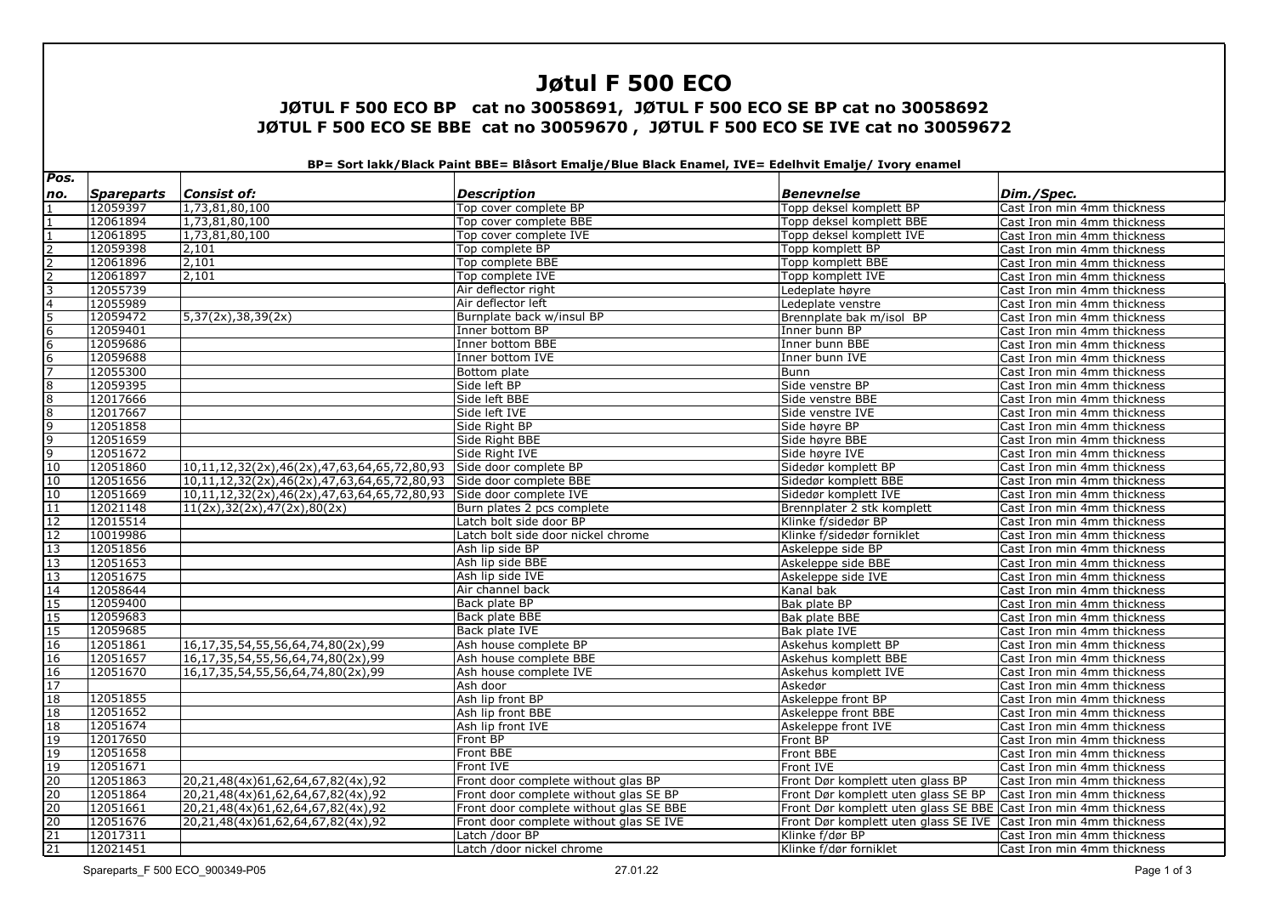# **Jøtul F 500 ECO**

### **JØTUL F 500 ECO BP cat no 30058691, JØTUL F 500 ECO SE BP cat no 30058692 JØTUL F 500 ECO SE BBE cat no 30059670 , JØTUL F 500 ECO SE IVE cat no 30059672**

**BP= Sort lakk/Black Paint BBE= Blåsort Emalje/Blue Black Enamel, IVE= Edelhvit Emalje/ Ivory enamel** 

| Pos.                                                                                                                                                                     |            |                                                                    |                                         |                                                                  |                             |
|--------------------------------------------------------------------------------------------------------------------------------------------------------------------------|------------|--------------------------------------------------------------------|-----------------------------------------|------------------------------------------------------------------|-----------------------------|
| no.                                                                                                                                                                      | Spareparts | <b>Consist of:</b>                                                 | <b>Description</b>                      | <b>Benevnelse</b>                                                | Dim./Spec.                  |
|                                                                                                                                                                          | 12059397   | 1,73,81,80,100                                                     | Top cover complete BP                   | Topp deksel komplett BP                                          | Cast Iron min 4mm thickness |
|                                                                                                                                                                          | 12061894   | 1,73,81,80,100                                                     | Top cover complete BBE                  | Topp deksel komplett BBE                                         | Cast Iron min 4mm thickness |
| $\frac{1}{2}$ $\frac{1}{2}$ $\frac{2}{2}$ $\frac{2}{3}$ $\frac{3}{4}$ $\frac{4}{5}$ $\frac{6}{6}$ $\frac{6}{7}$ $\frac{8}{8}$ $\frac{8}{9}$ $\frac{9}{9}$ $\frac{9}{10}$ | 12061895   | 1,73,81,80,100                                                     | Top cover complete IVE                  | Topp deksel komplett IVE                                         | Cast Iron min 4mm thickness |
|                                                                                                                                                                          | 12059398   | 2,101                                                              | Top complete BP                         | Topp komplett BP                                                 | Cast Iron min 4mm thickness |
|                                                                                                                                                                          | 12061896   | 2,101                                                              | Top complete BBE                        | Topp komplett BBE                                                | Cast Iron min 4mm thickness |
|                                                                                                                                                                          | 12061897   | 2,101                                                              | Top complete IVE                        | Topp komplett IVE                                                | Cast Iron min 4mm thickness |
|                                                                                                                                                                          | 12055739   |                                                                    | Air deflector right                     | Ledeplate høyre                                                  | Cast Iron min 4mm thickness |
|                                                                                                                                                                          | 12055989   |                                                                    | Air deflector left                      | Ledeplate venstre                                                | Cast Iron min 4mm thickness |
|                                                                                                                                                                          | 12059472   | 5,37(2x),38,39(2x)                                                 | Burnplate back w/insul BP               | Brennplate bak m/isol BP                                         | Cast Iron min 4mm thickness |
|                                                                                                                                                                          | 12059401   |                                                                    | Inner bottom BP                         | Inner bunn BP                                                    | Cast Iron min 4mm thickness |
|                                                                                                                                                                          | 12059686   |                                                                    | Inner bottom BBE                        | Inner bunn BBE                                                   | Cast Iron min 4mm thickness |
|                                                                                                                                                                          | 12059688   |                                                                    | Inner bottom IVE                        | Inner bunn IVE                                                   | Cast Iron min 4mm thickness |
|                                                                                                                                                                          | 12055300   |                                                                    | Bottom plate                            | <b>Bunn</b>                                                      | Cast Iron min 4mm thickness |
|                                                                                                                                                                          | 12059395   |                                                                    | Side left BP                            | Side venstre BP                                                  | Cast Iron min 4mm thickness |
|                                                                                                                                                                          | 12017666   |                                                                    | Side left BBE                           | Side venstre BBE                                                 | Cast Iron min 4mm thickness |
|                                                                                                                                                                          | 12017667   |                                                                    | Side left IVE                           | Side venstre IVE                                                 | Cast Iron min 4mm thickness |
|                                                                                                                                                                          | 12051858   |                                                                    | Side Right BP                           | Side høyre BP                                                    | Cast Iron min 4mm thickness |
|                                                                                                                                                                          | 12051659   |                                                                    | Side Right BBE                          | Side høyre BBE                                                   | Cast Iron min 4mm thickness |
|                                                                                                                                                                          | 12051672   |                                                                    | Side Right IVE                          | Side høyre IVE                                                   | Cast Iron min 4mm thickness |
|                                                                                                                                                                          | 12051860   | 10,11,12,32(2x),46(2x),47,63,64,65,72,80,93                        | Side door complete BP                   | Sidedør komplett BP                                              | Cast Iron min 4mm thickness |
| $10\,$                                                                                                                                                                   | 12051656   | 10,11,12,32(2x),46(2x),47,63,64,65,72,80,93 Side door complete BBE |                                         | Sidedør komplett BBE                                             | Cast Iron min 4mm thickness |
| 10                                                                                                                                                                       | 12051669   | 10,11,12,32(2x),46(2x),47,63,64,65,72,80,93 Side door complete IVE |                                         | Sidedør komplett IVE                                             | Cast Iron min 4mm thickness |
|                                                                                                                                                                          | 12021148   | 11(2x), 32(2x), 47(2x), 80(2x)                                     | Burn plates 2 pcs complete              | Brennplater 2 stk komplett                                       | Cast Iron min 4mm thickness |
|                                                                                                                                                                          | 12015514   |                                                                    | Latch bolt side door BP                 | Klinke f/sidedør BP                                              | Cast Iron min 4mm thickness |
|                                                                                                                                                                          | 10019986   |                                                                    | Latch bolt side door nickel chrome      | Klinke f/sidedør forniklet                                       | Cast Iron min 4mm thickness |
| $\frac{11}{12}$ $\frac{12}{13}$ $\frac{13}{13}$ $\frac{14}{15}$                                                                                                          | 12051856   |                                                                    | Ash lip side BP                         | Askeleppe side BP                                                | Cast Iron min 4mm thickness |
|                                                                                                                                                                          | 12051653   |                                                                    | Ash lip side BBE                        | Askeleppe side BBE                                               | Cast Iron min 4mm thickness |
|                                                                                                                                                                          | 12051675   |                                                                    | Ash lip side IVE                        | Askeleppe side IVE                                               | Cast Iron min 4mm thickness |
|                                                                                                                                                                          | 12058644   |                                                                    | Air channel back                        | Kanal bak                                                        | Cast Iron min 4mm thickness |
|                                                                                                                                                                          | 12059400   |                                                                    | Back plate BP                           | Bak plate BP                                                     | Cast Iron min 4mm thickness |
|                                                                                                                                                                          | 12059683   |                                                                    | Back plate BBE                          | Bak plate BBE                                                    | Cast Iron min 4mm thickness |
|                                                                                                                                                                          | 12059685   |                                                                    | Back plate IVE                          | Bak plate IVE                                                    | Cast Iron min 4mm thickness |
|                                                                                                                                                                          | 12051861   | 16,17,35,54,55,56,64,74,80(2x),99                                  | Ash house complete BP                   | Askehus komplett BP                                              | Cast Iron min 4mm thickness |
|                                                                                                                                                                          | 12051657   | 16,17,35,54,55,56,64,74,80(2x),99                                  | Ash house complete BBE                  | Askehus komplett BBE                                             | Cast Iron min 4mm thickness |
|                                                                                                                                                                          | 12051670   | 16,17,35,54,55,56,64,74,80(2x),99                                  | Ash house complete IVE                  | Askehus komplett IVE                                             | Cast Iron min 4mm thickness |
|                                                                                                                                                                          |            |                                                                    | Ash door                                | Askedør                                                          | Cast Iron min 4mm thickness |
|                                                                                                                                                                          | 12051855   |                                                                    | Ash lip front BP                        | Askeleppe front BP                                               | Cast Iron min 4mm thickness |
|                                                                                                                                                                          | 12051652   |                                                                    | Ash lip front BBE                       | Askeleppe front BBE                                              | Cast Iron min 4mm thickness |
|                                                                                                                                                                          | 12051674   |                                                                    | Ash lip front IVE                       | Askeleppe front IVE                                              | Cast Iron min 4mm thickness |
|                                                                                                                                                                          | 12017650   |                                                                    | Front BP                                | Front BP                                                         | Cast Iron min 4mm thickness |
|                                                                                                                                                                          | 12051658   |                                                                    | Front BBE                               | Front BBE                                                        | Cast Iron min 4mm thickness |
|                                                                                                                                                                          | 12051671   |                                                                    | Front IVE                               | Front IVE                                                        | Cast Iron min 4mm thickness |
| 15<br>15<br>16<br>16<br>16<br>17<br>18<br>18<br>19<br>19<br>20<br>20<br>20<br>21<br>21<br>21<br>                                                                         | 12051863   | 20,21,48(4x)61,62,64,67,82(4x),92                                  | Front door complete without glas BP     | Front Dør komplett uten glass BP                                 | Cast Iron min 4mm thickness |
|                                                                                                                                                                          | 12051864   | 20,21,48(4x)61,62,64,67,82(4x),92                                  | Front door complete without glas SE BP  | Front Dør komplett uten glass SE BP                              | Cast Iron min 4mm thickness |
|                                                                                                                                                                          | 12051661   | 20,21,48(4x)61,62,64,67,82(4x),92                                  | Front door complete without glas SE BBE | Front Dør komplett uten glass SE BBE Cast Iron min 4mm thickness |                             |
|                                                                                                                                                                          | 12051676   | 20,21,48(4x)61,62,64,67,82(4x),92                                  | Front door complete without glas SE IVE | Front Dør komplett uten glass SE IVE Cast Iron min 4mm thickness |                             |
|                                                                                                                                                                          | 12017311   |                                                                    | Latch /door BP                          | Klinke f/dør BP                                                  | Cast Iron min 4mm thickness |
|                                                                                                                                                                          | 12021451   |                                                                    | Latch /door nickel chrome               | Klinke f/dør forniklet                                           | Cast Iron min 4mm thickness |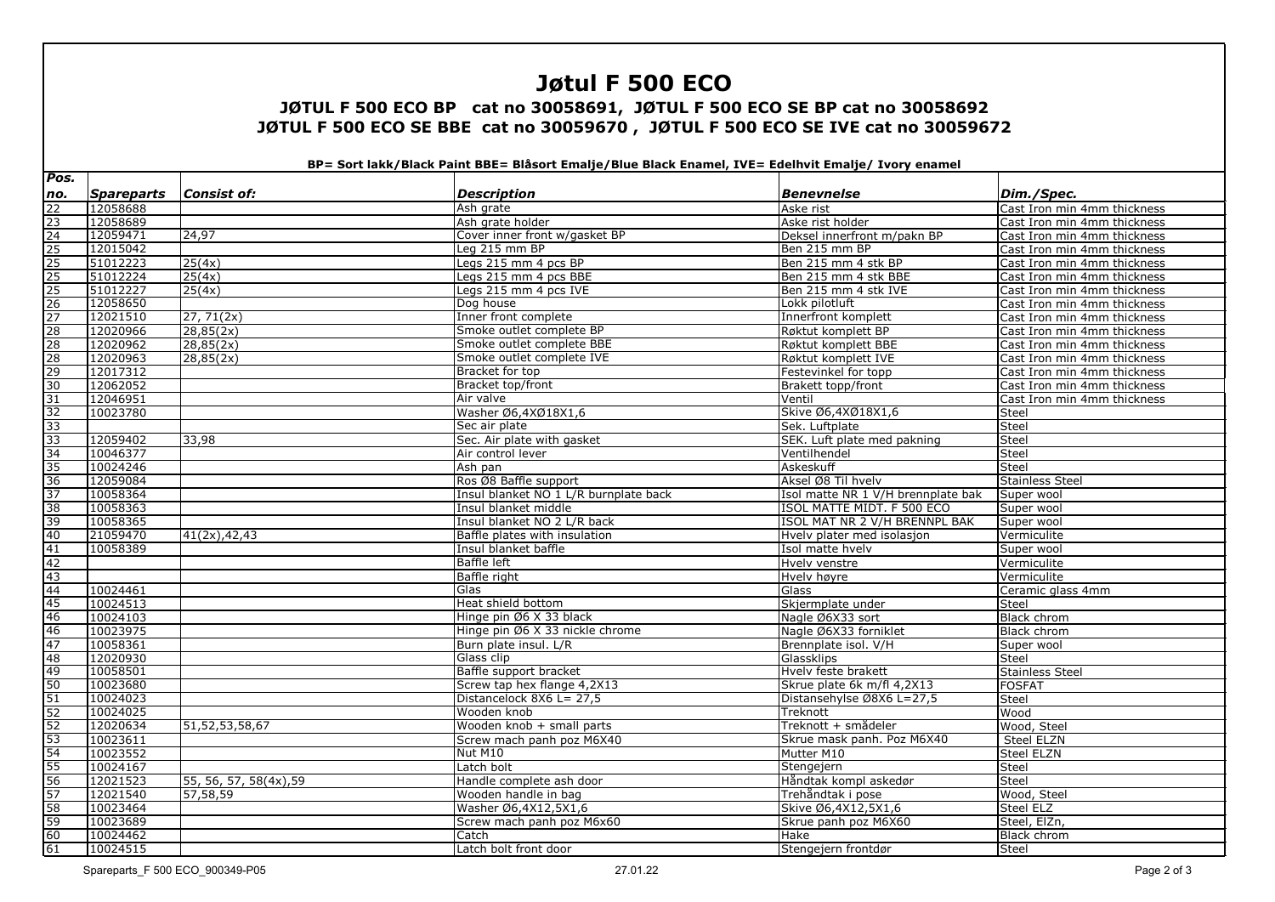# **Jøtul F 500 ECO**

### **JØTUL F 500 ECO BP cat no 30058691, JØTUL F 500 ECO SE BP cat no 30058692 JØTUL F 500 ECO SE BBE cat no 30059670 , JØTUL F 500 ECO SE IVE cat no 30059672**

**BP= Sort lakk/Black Paint BBE= Blåsort Emalje/Blue Black Enamel, IVE= Edelhvit Emalje/ Ivory enamel** 

| Pos.            |                   |                        |                                       |                                    |                             |
|-----------------|-------------------|------------------------|---------------------------------------|------------------------------------|-----------------------------|
| no.             | <b>Spareparts</b> | <b>Consist of:</b>     | <b>Description</b>                    | <b>Benevnelse</b>                  | Dim./Spec.                  |
|                 | 12058688          |                        | Ash grate                             | Aske rist                          | Cast Iron min 4mm thickness |
|                 | 12058689          |                        | Ash grate holder                      | Aske rist holder                   | Cast Iron min 4mm thickness |
|                 | 12059471          | 24,97                  | Cover inner front w/gasket BP         | Deksel innerfront m/pakn BP        | Cast Iron min 4mm thickness |
|                 | 12015042          |                        | Leg 215 mm BP                         | Ben 215 mm BP                      | Cast Iron min 4mm thickness |
|                 | 51012223          | 25(4x)                 | Legs 215 mm 4 pcs BP                  | Ben 215 mm 4 stk BP                | Cast Iron min 4mm thickness |
|                 | 51012224          | 25(4x)                 | Legs 215 mm 4 pcs BBE                 | Ben 215 mm 4 stk BBE               | Cast Iron min 4mm thickness |
|                 | 51012227          | 25(4x)                 | Legs 215 mm 4 pcs IVE                 | Ben 215 mm 4 stk IVE               | Cast Iron min 4mm thickness |
|                 | 12058650          |                        | Dog house                             | Lokk pilotluft                     | Cast Iron min 4mm thickness |
|                 | 12021510          | 27, 71(2x)             | Inner front complete                  | Innerfront komplett                | Cast Iron min 4mm thickness |
|                 | 12020966          | 28,85(2x)              | Smoke outlet complete BP              | Røktut komplett BP                 | Cast Iron min 4mm thickness |
|                 | 12020962          | 28,85(2x)              | Smoke outlet complete BBE             | Røktut komplett BBE                | Cast Iron min 4mm thickness |
|                 | 12020963          | 28,85(2x)              | Smoke outlet complete IVE             | Røktut komplett IVE                | Cast Iron min 4mm thickness |
|                 | 12017312          |                        | Bracket for top                       | Festevinkel for topp               | Cast Iron min 4mm thickness |
|                 | 12062052          |                        | Bracket top/front                     | Brakett topp/front                 | Cast Iron min 4mm thickness |
|                 | 12046951          |                        | Air valve                             | Ventil                             | Cast Iron min 4mm thickness |
|                 | 10023780          |                        | Washer Ø6,4XØ18X1,6                   | Skive Ø6,4XØ18X1,6                 | <b>Steel</b>                |
|                 |                   |                        | Sec air plate                         | Sek. Luftplate                     | <b>Steel</b>                |
|                 | 12059402          | 33,98                  | Sec. Air plate with gasket            | SEK. Luft plate med pakning        | <b>Steel</b>                |
|                 | 10046377          |                        | Air control lever                     | Ventilhendel                       | Steel                       |
|                 | 10024246          |                        | Ash pan                               | Askeskuff                          | Steel                       |
|                 | 12059084          |                        | Ros Ø8 Baffle support                 | Aksel Ø8 Til hvelv                 | <b>Stainless Steel</b>      |
|                 | 10058364          |                        | Insul blanket NO 1 L/R burnplate back | Isol matte NR 1 V/H brennplate bak | Super wool                  |
|                 | 10058363          |                        | Insul blanket middle                  | ISOL MATTE MIDT. F 500 ECO         | Super wool                  |
|                 | 10058365          |                        | Insul blanket NO 2 L/R back           | ISOL MAT NR 2 V/H BRENNPL BAK      | Super wool                  |
|                 | 21059470          | 41(2x), 42, 43         | Baffle plates with insulation         | Hyely plater med isolasjon         | Vermiculite                 |
|                 | 10058389          |                        | Insul blanket baffle                  | Isol matte hvelv                   | Super wool                  |
|                 |                   |                        | <b>Baffle left</b>                    | Hvelv venstre                      | Vermiculite                 |
|                 |                   |                        | <b>Baffle</b> right                   | Hvely høyre                        | Vermiculite                 |
|                 | 10024461          |                        | Glas                                  | Glass                              | Ceramic glass 4mm           |
|                 | 10024513          |                        | Heat shield bottom                    | Skjermplate under                  | <b>Steel</b>                |
|                 | 10024103          |                        | Hinge pin Ø6 X 33 black               | Nagle Ø6X33 sort                   | <b>Black chrom</b>          |
|                 | 10023975          |                        | Hinge pin Ø6 X 33 nickle chrome       | Nagle Ø6X33 forniklet              | Black chrom                 |
|                 | 10058361          |                        | Burn plate insul. L/R                 | Brennplate isol. V/H               | Super wool                  |
|                 | 12020930          |                        | Glass clip                            | Glassklips                         | <b>Steel</b>                |
|                 | 10058501          |                        | Baffle support bracket                | Hvelv feste brakett                | <b>Stainless Steel</b>      |
|                 | 10023680          |                        | Screw tap hex flange 4,2X13           | Skrue plate 6k m/fl 4,2X13         | <b>FOSFAT</b>               |
|                 | 10024023          |                        | Distancelock 8X6 L= 27,5              | Distansehylse Ø8X6 L=27,5          | Steel                       |
|                 | 10024025          |                        | Wooden knob                           | Treknott                           | Wood                        |
|                 | 12020634          | 51, 52, 53, 58, 67     | Wooden knob + small parts             | Treknott + smådeler                | Wood, Steel                 |
|                 | 10023611          |                        | Screw mach panh poz M6X40             | Skrue mask panh. Poz M6X40         | Steel ELZN                  |
|                 | 10023552          |                        | Nut M10                               | Mutter M10                         | Steel ELZN                  |
|                 | 10024167          |                        | Latch bolt                            | Stengejern                         | Steel                       |
| $\frac{56}{57}$ | 12021523          | 55, 56, 57, 58(4x), 59 | Handle complete ash door              | Håndtak kompl askedør              | Steel                       |
|                 | 12021540          | 57,58,59               | Wooden handle in bag                  | Trehåndtak i pose                  | Wood, Steel                 |
|                 | 10023464          |                        | Washer Ø6,4X12,5X1,6                  | Skive Ø6,4X12,5X1,6                | Steel ELZ                   |
| 59              | 10023689          |                        | Screw mach panh poz M6x60             | Skrue panh poz M6X60               | Steel, ElZn,                |
| 60              | 10024462          |                        | Catch                                 | Hake                               | <b>Black chrom</b>          |
| 61              | 10024515          |                        | Latch bolt front door                 | Stengejern frontdør                | Steel                       |